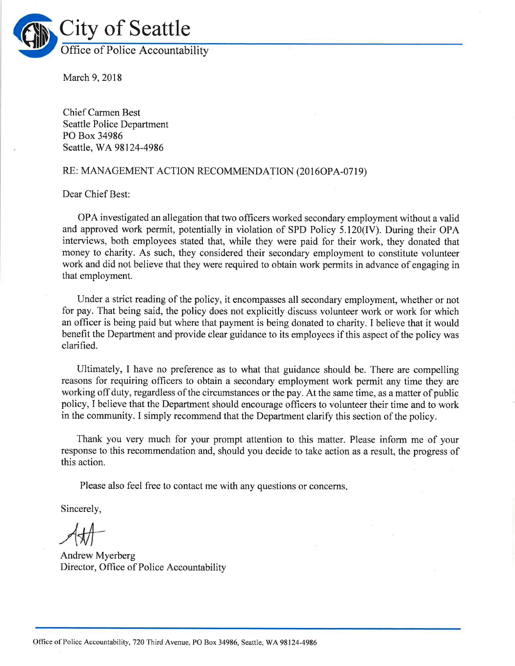

March 9,2018

Chief Carmen Best Seattle Police Department PO Box 34986 Seattle, WA 98124-4986

## RE: MANAGEMENT ACTION RECOMMENDATION (2016OPA-0719)

Dear Chief Best:

OPA investigated an allegation that two officers worked secondary employment without a valid and approved work permit, potentially in violation of SPD Policy 5.120(IV). During their OPA interviews, both employees stated that, while they were paid for their work, they donated that money to charity. As such, they considered their secondary employment to constitute volunteer work and did not believe that they were required to obtain work permits in advance of engaging in that employment.

Under a strict reading of the policy, it encompasses all secondary employment, whether or not for pay. That being said, the policy does not explicitly discuss volunteer work or work for which an officer is being paid but where that payment is being donated to charity. I believe that it would benefit the Department and provide clear guidance to its employees if this aspect of the policy was clarified.

Ultimately, I have no preference as to what that guidance should be. There are compelling reasons for requiring officers to obtain a secondary employment work permit any time they are working off duty, regardless of the circumstances or the pay. At the same time, as a matter of public policy, I believe that the Department should encourage officers to volunteer their time and to work in the community. I simply recommend that the Department clarify this section of the policy.

Thank you very much for your prompt attention to this matter. Please inform me of your response to this recommendation and, should you decide to take action as a result, the progress of this action.

Please also feel free to contact me with any questions or concerns

Sincerely,

Andrew Myerberg Director, Office of Police Accountability